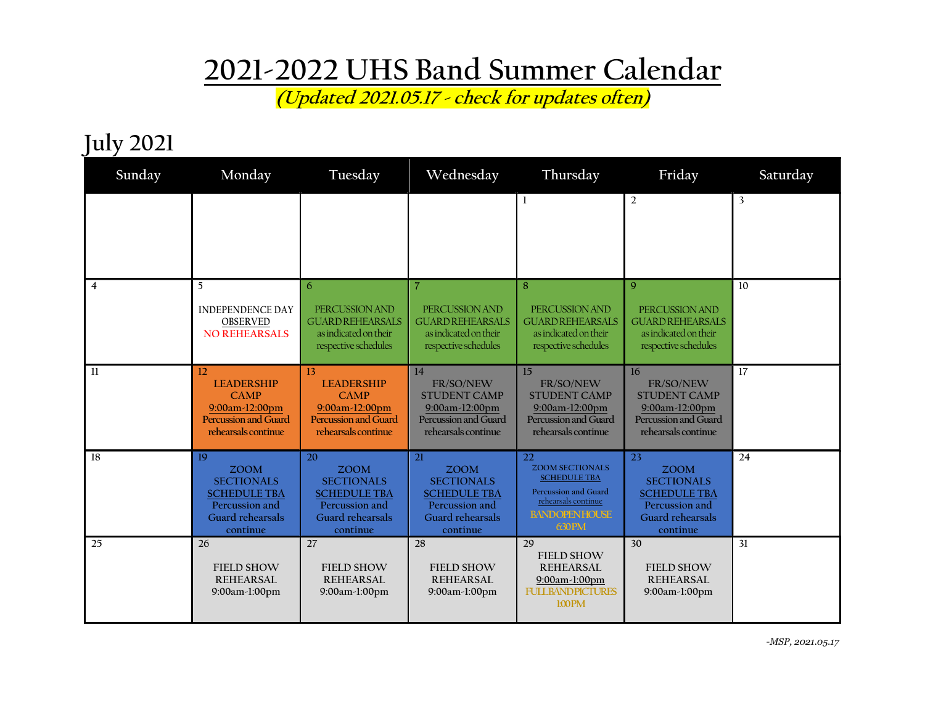## 2021-2022 UHS Band Summer Calendar

(Updated 2021.05.17 - check for updates often)

## July 2021

| Sunday         | Monday                                                                                                                        | Tuesday                                                                                                         | Wednesday                                                                                                              | Thursday                                                                                                                            | Friday                                                                                                          | Saturday                |
|----------------|-------------------------------------------------------------------------------------------------------------------------------|-----------------------------------------------------------------------------------------------------------------|------------------------------------------------------------------------------------------------------------------------|-------------------------------------------------------------------------------------------------------------------------------------|-----------------------------------------------------------------------------------------------------------------|-------------------------|
|                |                                                                                                                               |                                                                                                                 |                                                                                                                        |                                                                                                                                     | $\overline{2}$                                                                                                  | $\overline{\mathbf{3}}$ |
| $\overline{4}$ | 5<br><b>INDEPENDENCE DAY</b><br><b>OBSERVED</b><br><b>NO REHEARSALS</b>                                                       | 6<br>PERCUSSION AND<br><b>GUARD REHEARSALS</b><br>as indicated on their<br>respective schedules                 | $\overline{7}$<br>PERCUSSION AND<br><b>GUARD REHEARSALS</b><br>as indicated on their<br>respective schedules           | 8<br>PERCUSSION AND<br><b>GUARD REHEARSALS</b><br>as indicated on their<br>respective schedules                                     | 9<br>PERCUSSION AND<br><b>GUARD REHEARSALS</b><br>as indicated on their<br>respective schedules                 | 10                      |
| -11            | $12 \overline{)}$<br><b>LEADERSHIP</b><br><b>CAMP</b><br>9:00am-12:00pm<br><b>Percussion and Guard</b><br>rehearsals continue | 13<br><b>LEADERSHIP</b><br><b>CAMP</b><br>9:00am-12:00pm<br><b>Percussion and Guard</b><br>rehearsals continue  | 14<br>FR/SO/NEW<br><b>STUDENT CAMP</b><br>9:00am-12:00pm<br>Percussion and Guard<br>rehearsals continue                | 15<br>FR/SO/NEW<br><b>STUDENT CAMP</b><br>9:00am-12:00pm<br>Percussion and Guard<br>rehearsals continue                             | 16<br>FR/SO/NEW<br><b>STUDENT CAMP</b><br>9:00am-12:00pm<br>Percussion and Guard<br>rehearsals continue         | 17                      |
| 18             | 19<br><b>ZOOM</b><br><b>SECTIONALS</b><br><b>SCHEDULE TBA</b><br>Percussion and<br>Guard rehearsals<br>continue               | 20<br><b>ZOOM</b><br><b>SECTIONALS</b><br><b>SCHEDULE TBA</b><br>Percussion and<br>Guard rehearsals<br>continue | 21<br><b>ZOOM</b><br><b>SECTIONALS</b><br><b>SCHEDULE TBA</b><br>Percussion and<br><b>Guard rehearsals</b><br>continue | 22<br><b>ZOOM SECTIONALS</b><br><b>SCHEDULE TBA</b><br>Percussion and Guard<br>rehearsals continue<br><b>BANDOPENHOUSE</b><br>630PM | 23<br><b>ZOOM</b><br><b>SECTIONALS</b><br><b>SCHEDULE TBA</b><br>Percussion and<br>Guard rehearsals<br>continue | 24                      |
| 25             | 26<br><b>FIELD SHOW</b><br><b>REHEARSAL</b><br>9:00am-1:00pm                                                                  | 27<br><b>FIELD SHOW</b><br>REHEARSAL<br>9:00am-1:00pm                                                           | 28<br><b>FIELD SHOW</b><br>REHEARSAL<br>9:00am-1:00pm                                                                  | 29<br><b>FIELD SHOW</b><br><b>REHEARSAL</b><br>9:00am-1:00pm<br><b>FULLBANDPICTURES</b><br><b>LOOPM</b>                             | 30<br><b>FIELD SHOW</b><br>REHEARSAL<br>9:00am-1:00pm                                                           | 31                      |

-MSP, 2021.05.17